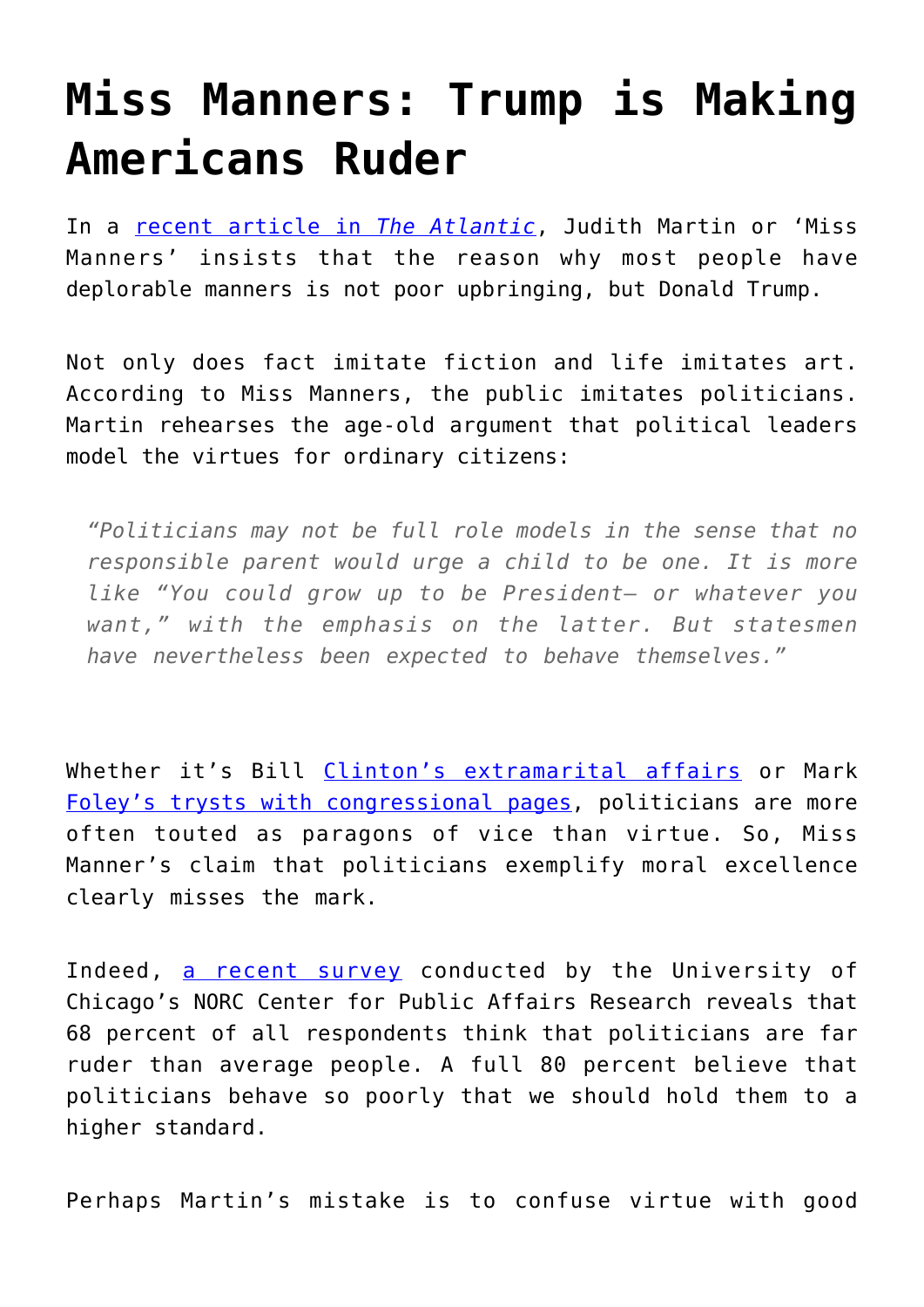## **[Miss Manners: Trump is Making](https://intellectualtakeout.org/2017/02/miss-manners-trump-is-making-americans-ruder/) [Americans Ruder](https://intellectualtakeout.org/2017/02/miss-manners-trump-is-making-americans-ruder/)**

In a [recent article in](https://www.theatlantic.com/entertainment/archive/2017/02/alternative-virtues-for-the-trump-era/516498/) *[The Atlantic](https://www.theatlantic.com/entertainment/archive/2017/02/alternative-virtues-for-the-trump-era/516498/)*, Judith Martin or 'Miss Manners' insists that the reason why most people have deplorable manners is not poor upbringing, but Donald Trump.

Not only does fact imitate fiction and life imitates art. According to Miss Manners, the public imitates politicians. Martin rehearses the age-old argument that political leaders model the virtues for ordinary citizens:

*"Politicians may not be full role models in the sense that no responsible parent would urge a child to be one. It is more like "You could grow up to be President— or whatever you want," with the emphasis on the latter. But statesmen have nevertheless been expected to behave themselves."*

Whether it's Bill [Clinton's extramarital affairs](http://www.express.co.uk/news/world/717068/bill-clinton-sex-scandal-affair-sex-monica-lewinsky-paula-jones-gennifer-flowers) or Mark [Foley's trysts with congressional pages,](http://blogs.abcnews.com/theblotter/2006/09/exclusive_the_s.html) politicians are more often touted as paragons of vice than virtue. So, Miss Manner's claim that politicians exemplify moral excellence clearly misses the mark.

Indeed, [a recent survey](https://psychcentral.com/news/2016/04/25/survey-most-americans-think-good-manners-are-declining/102262.html) conducted by the University of Chicago's NORC Center for Public Affairs Research reveals that 68 percent of all respondents think that politicians are far ruder than average people. A full 80 percent believe that politicians behave so poorly that we should hold them to a higher standard.

Perhaps Martin's mistake is to confuse virtue with good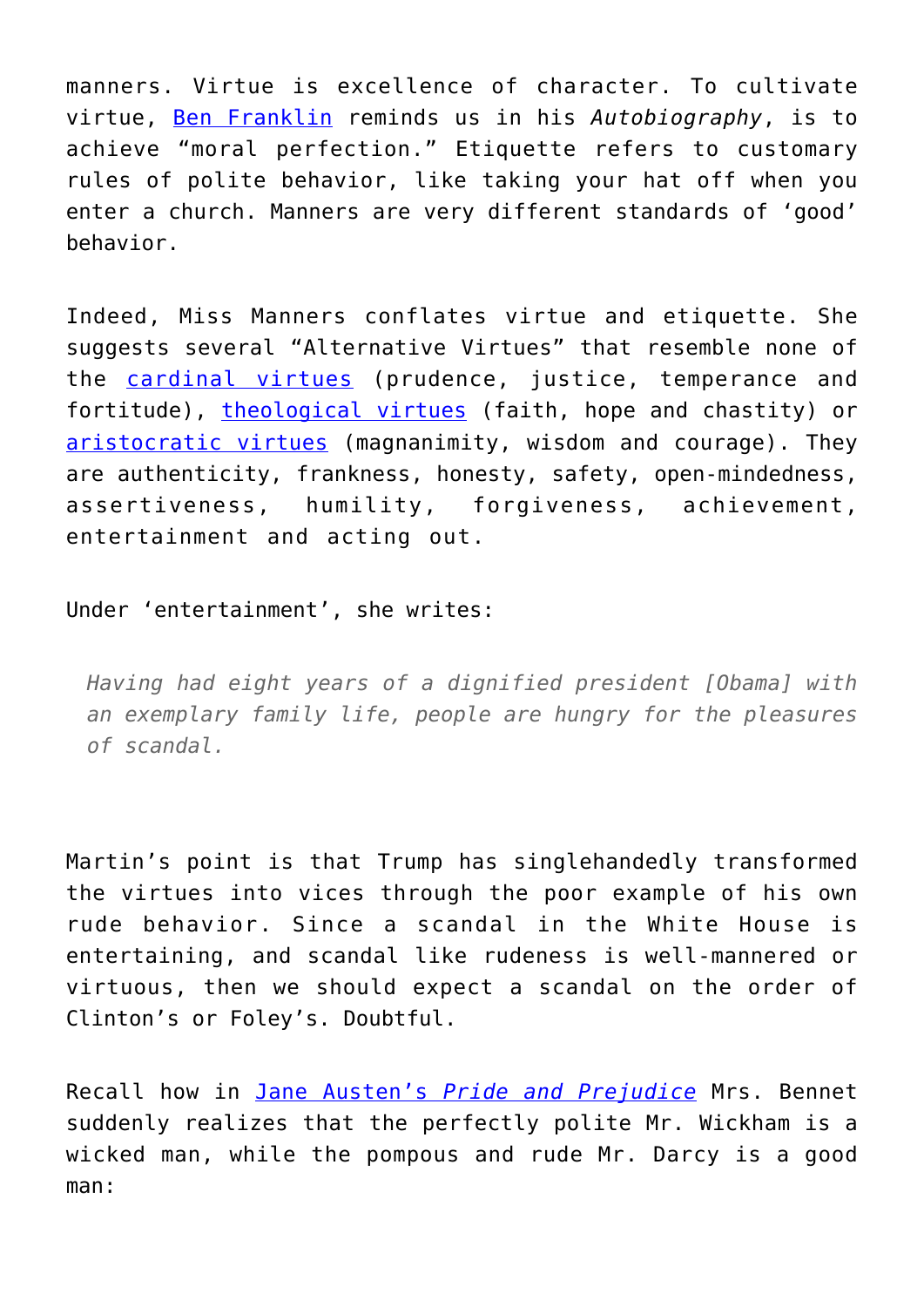manners. Virtue is excellence of character. To cultivate virtue, [Ben Franklin](http://www.ftrain.com/franklin_improving_self.html) reminds us in his *Autobiography*, is to achieve "moral perfection." Etiquette refers to customary rules of polite behavior, like taking your hat off when you enter a church. Manners are very different standards of 'good' behavior.

Indeed, Miss Manners conflates virtue and etiquette. She suggests several "Alternative Virtues" that resemble none of the [cardinal virtues](http://catholicism.about.com/od/beliefsteachings/tp/Cardinal_Virtues.htm) (prudence, justice, temperance and fortitude), [theological virtues](http://fallibleblogma.com/index.php/what-are-the-three-theological-virtues/) (faith, hope and chastity) or [aristocratic virtues](http://www.personal.kent.edu/~jwattles/aristotl.htm) (magnanimity, wisdom and courage). They are authenticity, frankness, honesty, safety, open-mindedness, assertiveness, humility, forgiveness, achievement, entertainment and acting out.

Under 'entertainment', she writes:

*Having had eight years of a dignified president [Obama] with an exemplary family life, people are hungry for the pleasures of scandal.*

Martin's point is that Trump has singlehandedly transformed the virtues into vices through the poor example of his own rude behavior. Since a scandal in the White House is entertaining, and scandal like rudeness is well-mannered or virtuous, then we should expect a scandal on the order of Clinton's or Foley's. Doubtful.

Recall how in [Jane Austen's](http://www.janeausten.org/pride-and-prejudice/pride-and-prejudice-online.asp) *[Pride and Prejudice](http://www.janeausten.org/pride-and-prejudice/pride-and-prejudice-online.asp)* Mrs. Bennet suddenly realizes that the perfectly polite Mr. Wickham is a wicked man, while the pompous and rude Mr. Darcy is a good man: